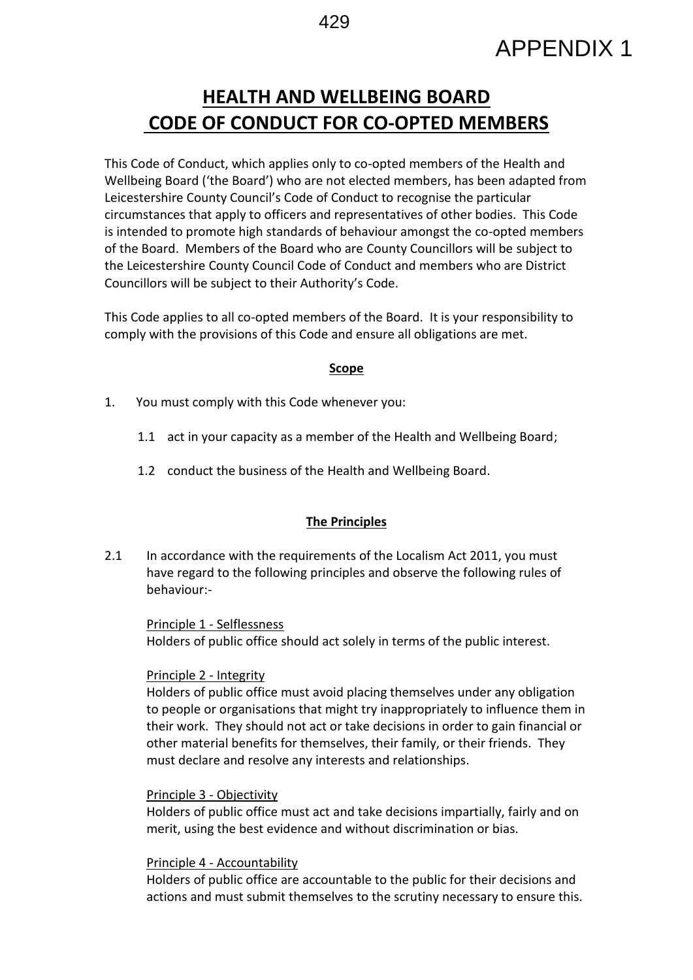# APPENDIX 1

# **HEALTH AND WELLBEING BOARD CODE OF CONDUCT FOR CO-OPTED MEMBERS**

This Code of Conduct, which applies only to co-opted members of the Health and Wellbeing Board ('the Board') who are not elected members, has been adapted from Leicestershire County Council's Code of Conduct to recognise the particular circumstances that apply to officers and representatives of other bodies. This Code is intended to promote high standards of behaviour amongst the co-opted members of the Board. Members of the Board who are County Councillors will be subject to the Leicestershire County Council Code of Conduct and members who are District Councillors will be subject to their Authority's Code.

This Code applies to all co-opted members of the Board. It is your responsibility to comply with the provisions of this Code and ensure all obligations are met.

#### **Scope**

- 1. You must comply with this Code whenever you:
	- 1.1 act in your capacity as a member of the Health and Wellbeing Board;
	- 1.2 conduct the business of the Health and Wellbeing Board.

#### **The Principles**

2.1 In accordance with the requirements of the Localism Act 2011, you must have regard to the following principles and observe the following rules of behaviour:-

Principle 1 - Selflessness Holders of public office should act solely in terms of the public interest.

#### Principle 2 - Integrity

Holders of public office must avoid placing themselves under any obligation to people or organisations that might try inappropriately to influence them in their work. They should not act or take decisions in order to gain financial or other material benefits for themselves, their family, or their friends. They must declare and resolve any interests and relationships.

#### Principle 3 - Objectivity

Holders of public office must act and take decisions impartially, fairly and on merit, using the best evidence and without discrimination or bias.

#### Principle 4 - Accountability

Holders of public office are accountable to the public for their decisions and actions and must submit themselves to the scrutiny necessary to ensure this.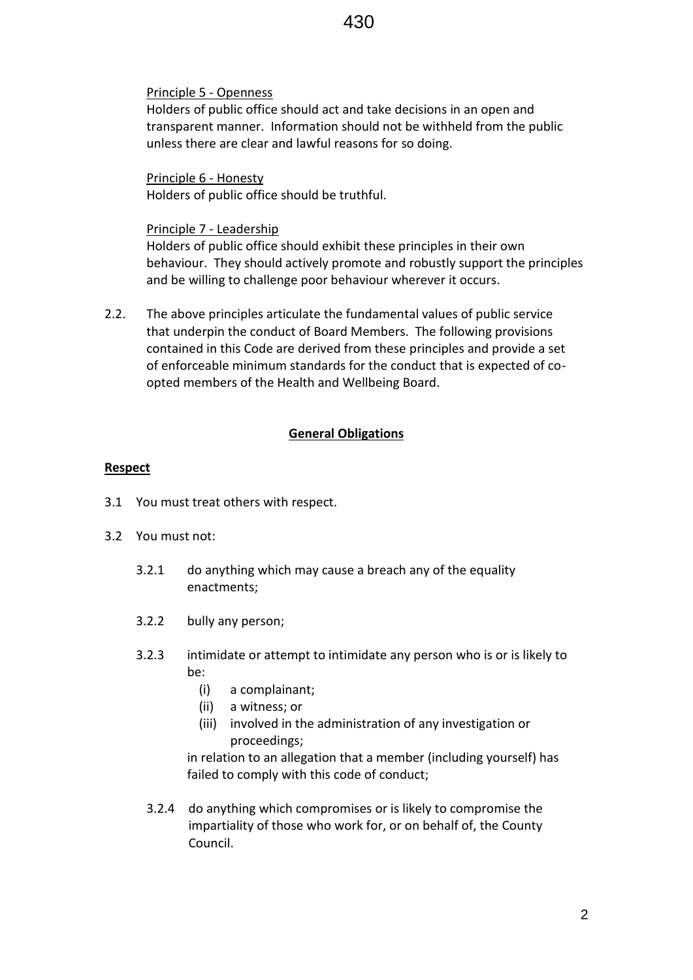## Principle 5 - Openness

Holders of public office should act and take decisions in an open and transparent manner. Information should not be withheld from the public unless there are clear and lawful reasons for so doing.

Principle 6 - Honesty Holders of public office should be truthful.

#### Principle 7 - Leadership

Holders of public office should exhibit these principles in their own behaviour. They should actively promote and robustly support the principles and be willing to challenge poor behaviour wherever it occurs.

2.2. The above principles articulate the fundamental values of public service that underpin the conduct of Board Members. The following provisions contained in this Code are derived from these principles and provide a set of enforceable minimum standards for the conduct that is expected of coopted members of the Health and Wellbeing Board.

# **General Obligations**

# **Respect**

- 3.1 You must treat others with respect.
- 3.2 You must not:
	- 3.2.1 do anything which may cause a breach any of the equality enactments;
	- 3.2.2 bully any person;
	- 3.2.3 intimidate or attempt to intimidate any person who is or is likely to be:
		- (i) a complainant;
		- (ii) a witness; or
		- (iii) involved in the administration of any investigation or proceedings;

in relation to an allegation that a member (including yourself) has failed to comply with this code of conduct;

3.2.4 do anything which compromises or is likely to compromise the impartiality of those who work for, or on behalf of, the County Council.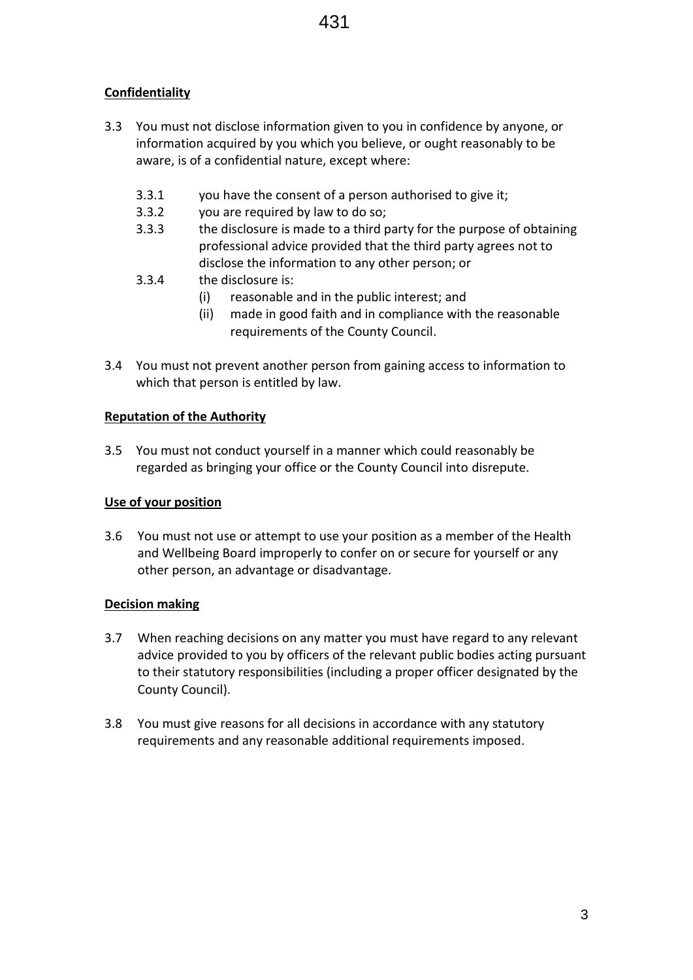# **Confidentiality**

- 3.3 You must not disclose information given to you in confidence by anyone, or information acquired by you which you believe, or ought reasonably to be aware, is of a confidential nature, except where:
	- 3.3.1 you have the consent of a person authorised to give it;
	- 3.3.2 you are required by law to do so;
	- 3.3.3 the disclosure is made to a third party for the purpose of obtaining professional advice provided that the third party agrees not to disclose the information to any other person; or
	- 3.3.4 the disclosure is:
		- (i) reasonable and in the public interest; and
		- (ii) made in good faith and in compliance with the reasonable requirements of the County Council.
- 3.4 You must not prevent another person from gaining access to information to which that person is entitled by law.

#### **Reputation of the Authority**

3.5 You must not conduct yourself in a manner which could reasonably be regarded as bringing your office or the County Council into disrepute.

#### **Use of your position**

3.6 You must not use or attempt to use your position as a member of the Health and Wellbeing Board improperly to confer on or secure for yourself or any other person, an advantage or disadvantage.

#### **Decision making**

- 3.7 When reaching decisions on any matter you must have regard to any relevant advice provided to you by officers of the relevant public bodies acting pursuant to their statutory responsibilities (including a proper officer designated by the County Council).
- 3.8 You must give reasons for all decisions in accordance with any statutory requirements and any reasonable additional requirements imposed.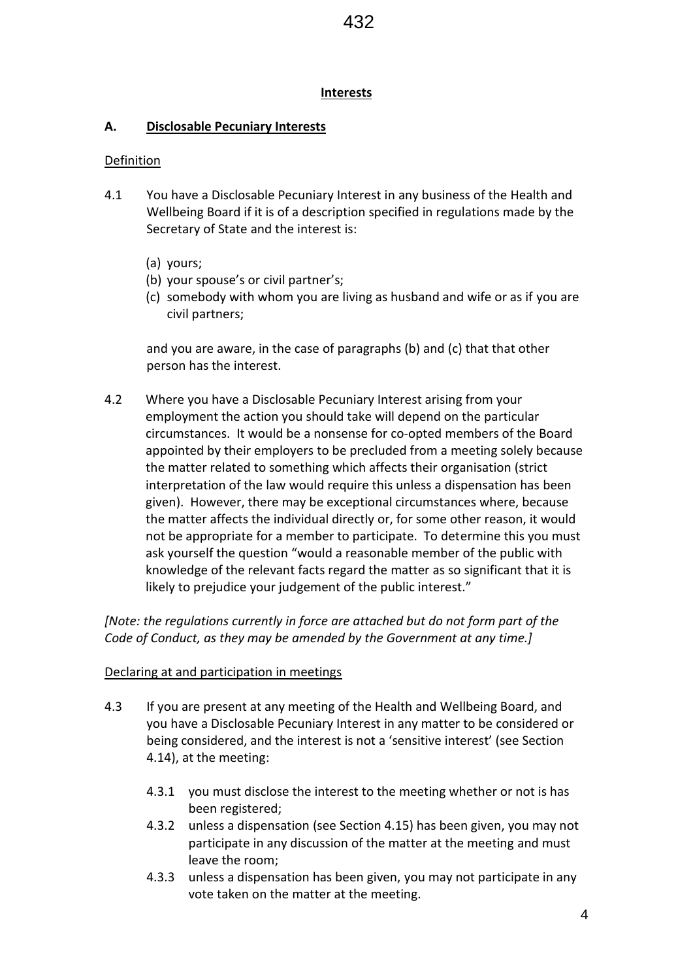#### **Interests**

## **A. Disclosable Pecuniary Interests**

#### **Definition**

- 4.1 You have a Disclosable Pecuniary Interest in any business of the Health and Wellbeing Board if it is of a description specified in regulations made by the Secretary of State and the interest is:
	- (a) yours;
	- (b) your spouse's or civil partner's;
	- (c) somebody with whom you are living as husband and wife or as if you are civil partners;

and you are aware, in the case of paragraphs (b) and (c) that that other person has the interest.

4.2 Where you have a Disclosable Pecuniary Interest arising from your employment the action you should take will depend on the particular circumstances. It would be a nonsense for co-opted members of the Board appointed by their employers to be precluded from a meeting solely because the matter related to something which affects their organisation (strict interpretation of the law would require this unless a dispensation has been given). However, there may be exceptional circumstances where, because the matter affects the individual directly or, for some other reason, it would not be appropriate for a member to participate. To determine this you must ask yourself the question "would a reasonable member of the public with knowledge of the relevant facts regard the matter as so significant that it is likely to prejudice your judgement of the public interest."

*[Note: the regulations currently in force are attached but do not form part of the Code of Conduct, as they may be amended by the Government at any time.]*

#### Declaring at and participation in meetings

- 4.3 If you are present at any meeting of the Health and Wellbeing Board, and you have a Disclosable Pecuniary Interest in any matter to be considered or being considered, and the interest is not a 'sensitive interest' (see Section 4.14), at the meeting:
	- 4.3.1 you must disclose the interest to the meeting whether or not is has been registered;
	- 4.3.2 unless a dispensation (see Section 4.15) has been given, you may not participate in any discussion of the matter at the meeting and must leave the room;
	- 4.3.3 unless a dispensation has been given, you may not participate in any vote taken on the matter at the meeting.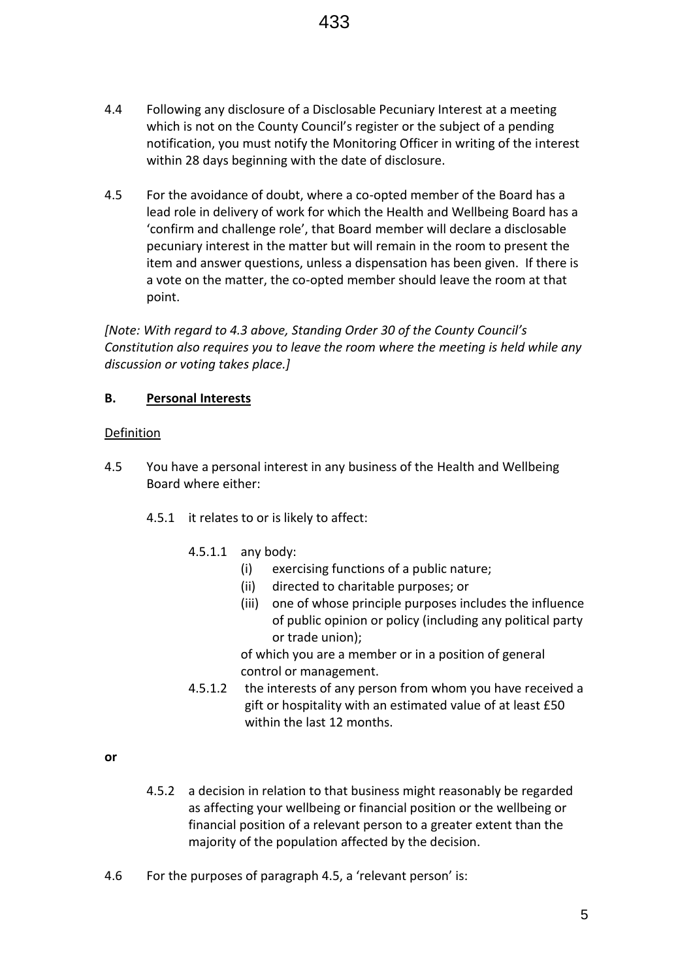- 4.4 Following any disclosure of a Disclosable Pecuniary Interest at a meeting which is not on the County Council's register or the subject of a pending notification, you must notify the Monitoring Officer in writing of the interest within 28 days beginning with the date of disclosure.
- 4.5 For the avoidance of doubt, where a co-opted member of the Board has a lead role in delivery of work for which the Health and Wellbeing Board has a 'confirm and challenge role', that Board member will declare a disclosable pecuniary interest in the matter but will remain in the room to present the item and answer questions, unless a dispensation has been given. If there is a vote on the matter, the co-opted member should leave the room at that point.

*[Note: With regard to 4.3 above, Standing Order 30 of the County Council's Constitution also requires you to leave the room where the meeting is held while any discussion or voting takes place.]*

# **B. Personal Interests**

#### Definition

- 4.5 You have a personal interest in any business of the Health and Wellbeing Board where either:
	- 4.5.1 it relates to or is likely to affect:
		- 4.5.1.1 any body:
			- (i) exercising functions of a public nature;
				- (ii) directed to charitable purposes; or
				- (iii) one of whose principle purposes includes the influence of public opinion or policy (including any political party or trade union);

of which you are a member or in a position of general control or management.

4.5.1.2 the interests of any person from whom you have received a gift or hospitality with an estimated value of at least £50 within the last 12 months.

**or**

- 4.5.2 a decision in relation to that business might reasonably be regarded as affecting your wellbeing or financial position or the wellbeing or financial position of a relevant person to a greater extent than the majority of the population affected by the decision.
- 4.6 For the purposes of paragraph 4.5, a 'relevant person' is: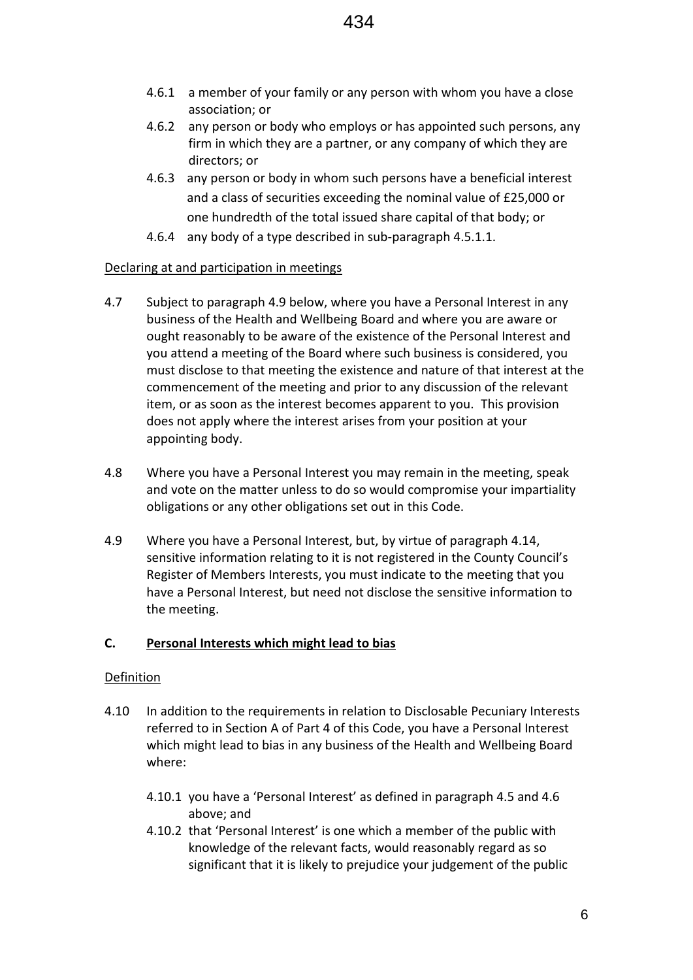- 4.6.1 a member of your family or any person with whom you have a close association; or
- 4.6.2 any person or body who employs or has appointed such persons, any firm in which they are a partner, or any company of which they are directors; or
- 4.6.3 any person or body in whom such persons have a beneficial interest and a class of securities exceeding the nominal value of £25,000 or one hundredth of the total issued share capital of that body; or
- 4.6.4 any body of a type described in sub-paragraph 4.5.1.1.

#### Declaring at and participation in meetings

- 4.7 Subject to paragraph 4.9 below, where you have a Personal Interest in any business of the Health and Wellbeing Board and where you are aware or ought reasonably to be aware of the existence of the Personal Interest and you attend a meeting of the Board where such business is considered, you must disclose to that meeting the existence and nature of that interest at the commencement of the meeting and prior to any discussion of the relevant item, or as soon as the interest becomes apparent to you. This provision does not apply where the interest arises from your position at your appointing body.
- 4.8 Where you have a Personal Interest you may remain in the meeting, speak and vote on the matter unless to do so would compromise your impartiality obligations or any other obligations set out in this Code.
- 4.9 Where you have a Personal Interest, but, by virtue of paragraph 4.14, sensitive information relating to it is not registered in the County Council's Register of Members Interests, you must indicate to the meeting that you have a Personal Interest, but need not disclose the sensitive information to the meeting.

#### **C. Personal Interests which might lead to bias**

#### Definition

- 4.10 In addition to the requirements in relation to Disclosable Pecuniary Interests referred to in Section A of Part 4 of this Code, you have a Personal Interest which might lead to bias in any business of the Health and Wellbeing Board where:
	- 4.10.1 you have a 'Personal Interest' as defined in paragraph 4.5 and 4.6 above; and
	- 4.10.2 that 'Personal Interest' is one which a member of the public with knowledge of the relevant facts, would reasonably regard as so significant that it is likely to prejudice your judgement of the public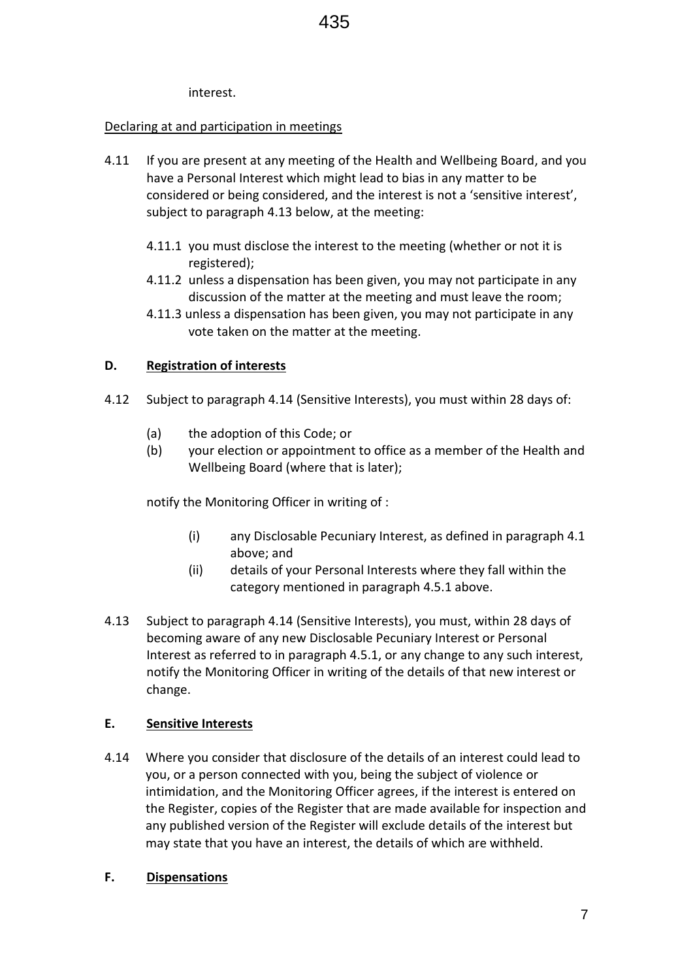interest.

#### Declaring at and participation in meetings

- 4.11 If you are present at any meeting of the Health and Wellbeing Board, and you have a Personal Interest which might lead to bias in any matter to be considered or being considered, and the interest is not a 'sensitive interest', subject to paragraph 4.13 below, at the meeting:
	- 4.11.1 you must disclose the interest to the meeting (whether or not it is registered);
	- 4.11.2 unless a dispensation has been given, you may not participate in any discussion of the matter at the meeting and must leave the room;
	- 4.11.3 unless a dispensation has been given, you may not participate in any vote taken on the matter at the meeting.

#### **D. Registration of interests**

- 4.12 Subject to paragraph 4.14 (Sensitive Interests), you must within 28 days of:
	- (a) the adoption of this Code; or
	- (b) your election or appointment to office as a member of the Health and Wellbeing Board (where that is later);

notify the Monitoring Officer in writing of :

- (i) any Disclosable Pecuniary Interest, as defined in paragraph 4.1 above; and
- (ii) details of your Personal Interests where they fall within the category mentioned in paragraph 4.5.1 above.
- 4.13 Subject to paragraph 4.14 (Sensitive Interests), you must, within 28 days of becoming aware of any new Disclosable Pecuniary Interest or Personal Interest as referred to in paragraph 4.5.1, or any change to any such interest, notify the Monitoring Officer in writing of the details of that new interest or change.

#### **E. Sensitive Interests**

4.14 Where you consider that disclosure of the details of an interest could lead to you, or a person connected with you, being the subject of violence or intimidation, and the Monitoring Officer agrees, if the interest is entered on the Register, copies of the Register that are made available for inspection and any published version of the Register will exclude details of the interest but may state that you have an interest, the details of which are withheld.

#### **F. Dispensations**